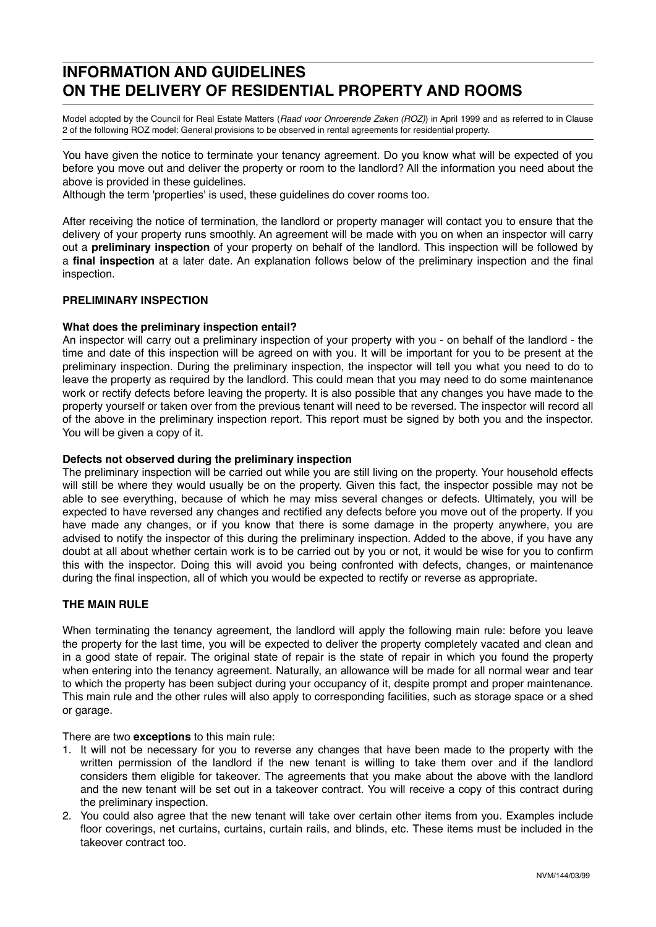# **INFORMATION AND GUIDELINES ON THE DELIVERY OF RESIDENTIAL PROPERTY AND ROOMS**

Model adopted by the Council for Real Estate Matters (*Raad voor Onroerende Zaken (ROZ)*) in April 1999 and as referred to in Clause 2 of the following ROZ model: General provisions to be observed in rental agreements for residential property.

You have given the notice to terminate your tenancy agreement. Do you know what will be expected of you before you move out and deliver the property or room to the landlord? All the information you need about the above is provided in these guidelines.

Although the term 'properties' is used, these guidelines do cover rooms too.

After receiving the notice of termination, the landlord or property manager will contact you to ensure that the delivery of your property runs smoothly. An agreement will be made with you on when an inspector will carry out a **preliminary inspection** of your property on behalf of the landlord. This inspection will be followed by a **final inspection** at a later date. An explanation follows below of the preliminary inspection and the final inspection.

# **PRELIMINARY INSPECTION**

## **What does the preliminary inspection entail?**

An inspector will carry out a preliminary inspection of your property with you - on behalf of the landlord - the time and date of this inspection will be agreed on with you. It will be important for you to be present at the preliminary inspection. During the preliminary inspection, the inspector will tell you what you need to do to leave the property as required by the landlord. This could mean that you may need to do some maintenance work or rectify defects before leaving the property. It is also possible that any changes you have made to the property yourself or taken over from the previous tenant will need to be reversed. The inspector will record all of the above in the preliminary inspection report. This report must be signed by both you and the inspector. You will be given a copy of it.

### **Defects not observed during the preliminary inspection**

The preliminary inspection will be carried out while you are still living on the property. Your household effects will still be where they would usually be on the property. Given this fact, the inspector possible may not be able to see everything, because of which he may miss several changes or defects. Ultimately, you will be expected to have reversed any changes and rectified any defects before you move out of the property. If you have made any changes, or if you know that there is some damage in the property anywhere, you are advised to notify the inspector of this during the preliminary inspection. Added to the above, if you have any doubt at all about whether certain work is to be carried out by you or not, it would be wise for you to confirm this with the inspector. Doing this will avoid you being confronted with defects, changes, or maintenance during the final inspection, all of which you would be expected to rectify or reverse as appropriate.

### **THE MAIN RULE**

When terminating the tenancy agreement, the landlord will apply the following main rule: before you leave the property for the last time, you will be expected to deliver the property completely vacated and clean and in a good state of repair. The original state of repair is the state of repair in which you found the property when entering into the tenancy agreement. Naturally, an allowance will be made for all normal wear and tear to which the property has been subject during your occupancy of it, despite prompt and proper maintenance. This main rule and the other rules will also apply to corresponding facilities, such as storage space or a shed or garage.

There are two **exceptions** to this main rule:

- 1. It will not be necessary for you to reverse any changes that have been made to the property with the written permission of the landlord if the new tenant is willing to take them over and if the landlord considers them eligible for takeover. The agreements that you make about the above with the landlord and the new tenant will be set out in a takeover contract. You will receive a copy of this contract during the preliminary inspection.
- 2. You could also agree that the new tenant will take over certain other items from you. Examples include floor coverings, net curtains, curtains, curtain rails, and blinds, etc. These items must be included in the takeover contract too.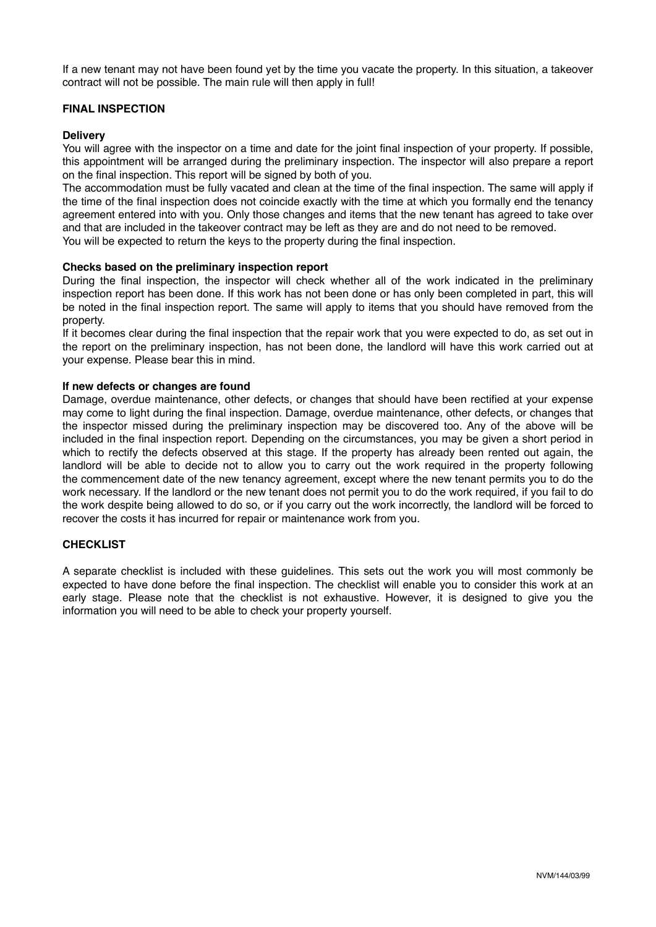If a new tenant may not have been found yet by the time you vacate the property. In this situation, a takeover contract will not be possible. The main rule will then apply in full!

# **FINAL INSPECTION**

## **Delivery**

You will agree with the inspector on a time and date for the joint final inspection of your property. If possible, this appointment will be arranged during the preliminary inspection. The inspector will also prepare a report on the final inspection. This report will be signed by both of you.

The accommodation must be fully vacated and clean at the time of the final inspection. The same will apply if the time of the final inspection does not coincide exactly with the time at which you formally end the tenancy agreement entered into with you. Only those changes and items that the new tenant has agreed to take over and that are included in the takeover contract may be left as they are and do not need to be removed. You will be expected to return the keys to the property during the final inspection.

## **Checks based on the preliminary inspection report**

During the final inspection, the inspector will check whether all of the work indicated in the preliminary inspection report has been done. If this work has not been done or has only been completed in part, this will be noted in the final inspection report. The same will apply to items that you should have removed from the property.

If it becomes clear during the final inspection that the repair work that you were expected to do, as set out in the report on the preliminary inspection, has not been done, the landlord will have this work carried out at your expense. Please bear this in mind.

### **If new defects or changes are found**

Damage, overdue maintenance, other defects, or changes that should have been rectified at your expense may come to light during the final inspection. Damage, overdue maintenance, other defects, or changes that the inspector missed during the preliminary inspection may be discovered too. Any of the above will be included in the final inspection report. Depending on the circumstances, you may be given a short period in which to rectify the defects observed at this stage. If the property has already been rented out again, the landlord will be able to decide not to allow you to carry out the work required in the property following the commencement date of the new tenancy agreement, except where the new tenant permits you to do the work necessary. If the landlord or the new tenant does not permit you to do the work required, if you fail to do the work despite being allowed to do so, or if you carry out the work incorrectly, the landlord will be forced to recover the costs it has incurred for repair or maintenance work from you.

### **CHECKLIST**

A separate checklist is included with these guidelines. This sets out the work you will most commonly be expected to have done before the final inspection. The checklist will enable you to consider this work at an early stage. Please note that the checklist is not exhaustive. However, it is designed to give you the information you will need to be able to check your property yourself.